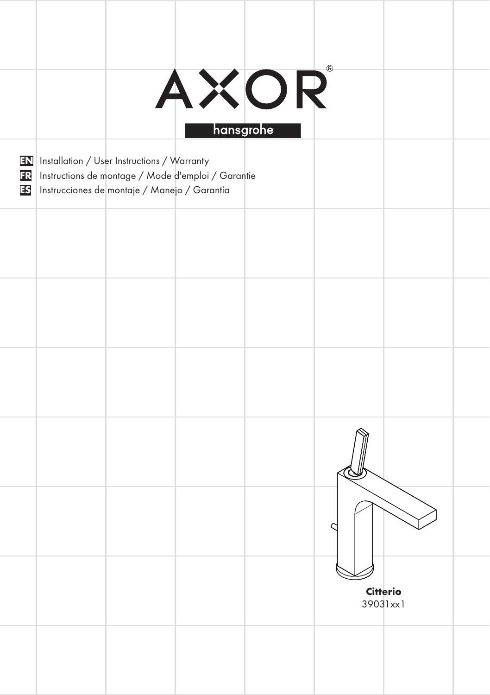|  |                                                                                                          | AXOR<br>hansgrohe                                     |                      |  |
|--|----------------------------------------------------------------------------------------------------------|-------------------------------------------------------|----------------------|--|
|  | <b>EN</b> Installation / User Instructions / Warranty<br>IS Instrucciones de montaje / Manejo / Garantía | 13 Instructions de montage / Mode d'emploi / Garantie |                      |  |
|  |                                                                                                          |                                                       |                      |  |
|  |                                                                                                          |                                                       |                      |  |
|  |                                                                                                          |                                                       |                      |  |
|  |                                                                                                          |                                                       |                      |  |
|  |                                                                                                          |                                                       |                      |  |
|  |                                                                                                          |                                                       | Citterio<br>39031xx1 |  |
|  |                                                                                                          |                                                       |                      |  |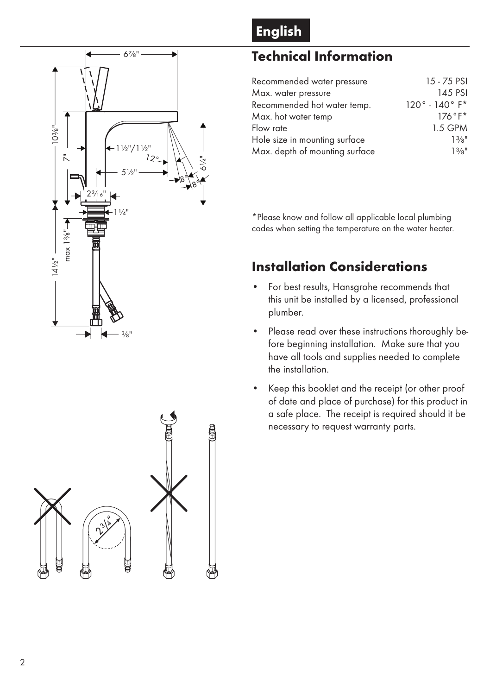



# Technical Information

| Recommended water pressure     | 15 - 75 PSI                    |
|--------------------------------|--------------------------------|
| Max. water pressure            | 145 PSI                        |
| Recommended hot water temp.    | $120^{\circ} - 140^{\circ}$ F* |
| Max. hot water temp            | $176°F*$                       |
| Flow rate                      | 1.5 GPM                        |
| Hole size in mounting surface  | 13/n''                         |
| Max. depth of mounting surface | 13/n''                         |

\*Please know and follow all applicable local plumbing codes when setting the temperature on the water heater.

# Installation Considerations

- For best results, Hansgrohe recommends that this unit be installed by a licensed, professional plumber. •
- Please read over these instructions thoroughly before beginning installation. Make sure that you have all tools and supplies needed to complete the installation. •
- Keep this booklet and the receipt (or other proof of date and place of purchase) for this product in a safe place. The receipt is required should it be necessary to request warranty parts. •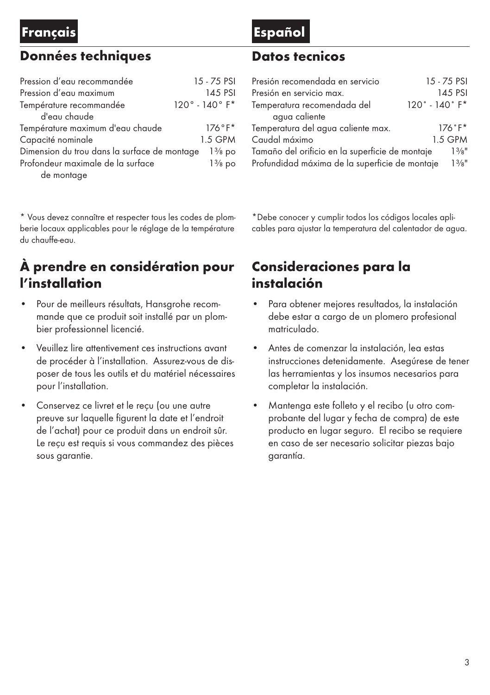### Français Español

### Données techniques

| Pression d'eau recommandée                   | 15 - 75 PSI                    |
|----------------------------------------------|--------------------------------|
| Pression d'eau maximum                       | 145 PSI                        |
| Température recommandée                      | $120^{\circ} - 140^{\circ}$ F* |
| d'eau chaude                                 |                                |
| Température maximum d'eau chaude             | $176°F*$                       |
| Capacité nominale                            | 1.5 GPM                        |
| Dimension du trou dans la surface de montage | $1\frac{3}{8}$ po              |
| Profondeur maximale de la surface            | $1\frac{3}{8}$ po              |
| de montage                                   |                                |

\* Vous devez connaître et respecter tous les codes de plomberie locaux applicables pour le réglage de la température du chauffe-eau. 

# À prendre en considération pour l'installation

- Pour de meilleurs résultats, Hansgrohe recommande que ce produit soit installé par un plombier professionnel licencié. •
- Veuillez lire attentivement ces instructions avant de procéder à l'installation. Assurez-vous de disposer de tous les outils et du matériel nécessaires pour l'installation. •
- Conservez ce livret et le reçu (ou une autre preuve sur laquelle figurent la date et l'endroit de l'achat) pour ce produit dans un endroit sûr. Le reçu est requis si vous commandez des pièces sous garantie. •

### Datos tecnicos

| Presión recomendada en servicio                 | 15 - 75 PSI |  |  |  |
|-------------------------------------------------|-------------|--|--|--|
| Presión en servicio max.                        | 145 PSI     |  |  |  |
| $120° - 140°$ F*<br>Temperatura recomendada del |             |  |  |  |
| agua caliente                                   |             |  |  |  |
| Temperatura del agua caliente max.<br>$176°F*$  |             |  |  |  |
| Caudal máximo                                   | 1.5 GPM     |  |  |  |
| Tamaño del orificio en la superficie de montaje |             |  |  |  |
| Profundidad máxima de la superficie de montaje  |             |  |  |  |

\*Debe conocer y cumplir todos los códigos locales aplicables para ajustar la temperatura del calentador de agua.

### Consideraciones para la instalación

- Para obtener mejores resultados, la instalación debe estar a cargo de un plomero profesional matriculado. •
- Antes de comenzar la instalación, lea estas instrucciones detenidamente. Asegúrese de tener las herramientas y los insumos necesarios para completar la instalación. •
- Mantenga este folleto y el recibo (u otro comprobante del lugar y fecha de compra) de este producto en lugar seguro. El recibo se requiere en caso de ser necesario solicitar piezas bajo garantía. •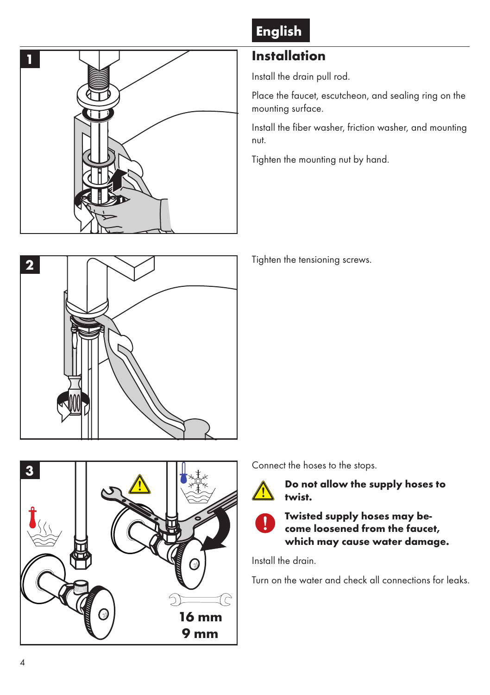

# English

## Installation

Install the drain pull rod.

Place the faucet, escutcheon, and sealing ring on the mounting surface.

Install the fiber washer, friction washer, and mounting nut.

Tighten the mounting nut by hand.



Tighten the tensioning screws.

Connect the hoses to the stops.



Do not allow the supply hoses to twist.



Twisted supply hoses may become loosened from the faucet, which may cause water damage.

Install the drain.

Turn on the water and check all connections for leaks.

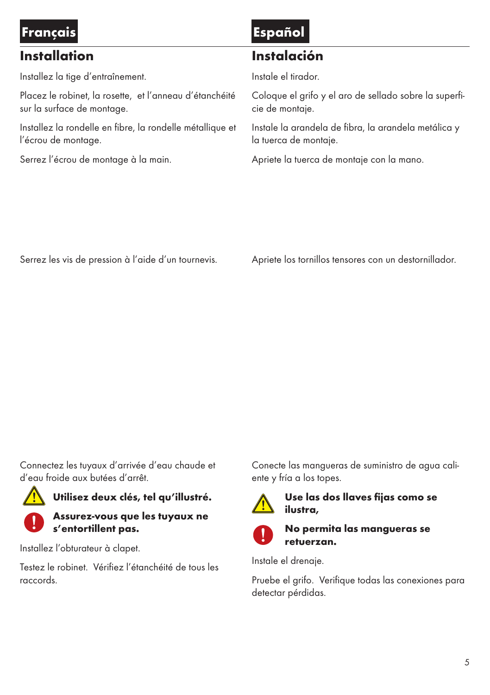#### Français Español Installation Installez la tige d'entraînement. Placez le robinet, la rosette, et l'anneau d'étanchéité sur la surface de montage. Installez la rondelle en fibre, la rondelle métallique et l'écrou de montage. Serrez l'écrou de montage à la main. Instalación Instale el tirador. Coloque el grifo y el aro de sellado sobre la superficie de montaje. Instale la arandela de fibra, la arandela metálica y la tuerca de montaje. Apriete la tuerca de montaje con la mano.

Serrez les vis de pression à l'aide d'un tournevis.

Apriete los tornillos tensores con un destornillador.

Connectez les tuyaux d'arrivée d'eau chaude et d'eau froide aux butées d'arrêt.



Utilisez deux clés, tel qu'illustré.



Assurez-vous que les tuyaux ne s'entortillent pas.

Installez l'obturateur à clapet.

Testez le robinet. Vérifiez l'étanchéité de tous les raccords.

Conecte las mangueras de suministro de agua caliente y fría a los topes.



Use las dos llaves fijas como se ilustra,



### No permita las mangueras se retuerzan.

Instale el drenaje.

Pruebe el grifo. Verifique todas las conexiones para detectar pérdidas.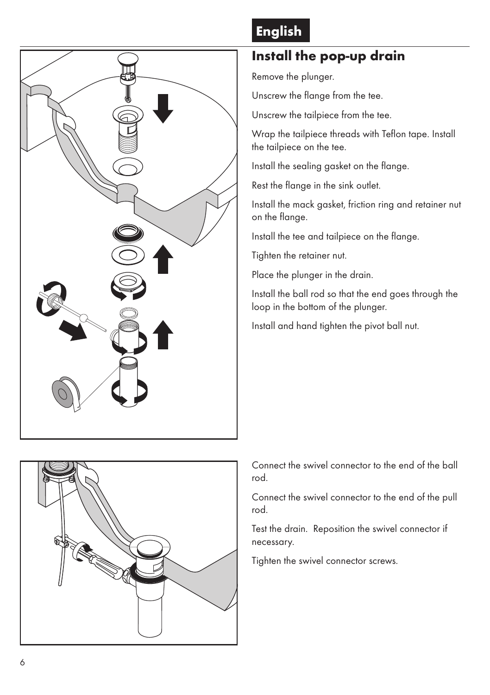

# English

# Install the pop-up drain

Remove the plunger.

Unscrew the flange from the tee.

Unscrew the tailpiece from the tee.

Wrap the tailpiece threads with Teflon tape. Install the tailpiece on the tee.

Install the sealing gasket on the flange.

Rest the flange in the sink outlet.

Install the mack gasket, friction ring and retainer nut on the flange.

Install the tee and tailpiece on the flange.

Tighten the retainer nut.

Place the plunger in the drain.

Install the ball rod so that the end goes through the loop in the bottom of the plunger.

Install and hand tighten the pivot ball nut.



Connect the swivel connector to the end of the ball rod.

Connect the swivel connector to the end of the pull rod.

Test the drain. Reposition the swivel connector if necessary.

Tighten the swivel connector screws.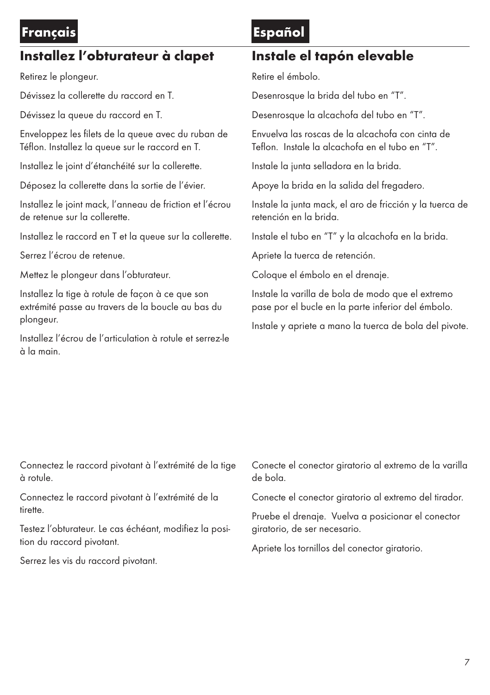### Français Español

## Installez l'obturateur à clapet

Retirez le plongeur.

Dévissez la collerette du raccord en T.

Dévissez la queue du raccord en T.

Enveloppez les filets de la queue avec du ruban de Téflon. Installez la queue sur le raccord en T.

Installez le joint d'étanchéité sur la collerette.

Déposez la collerette dans la sortie de l'évier.

Installez le joint mack, l'anneau de friction et l'écrou de retenue sur la collerette.

Installez le raccord en T et la queue sur la collerette.

Serrez l'écrou de retenue.

Mettez le plongeur dans l'obturateur.

Installez la tige à rotule de façon à ce que son extrémité passe au travers de la boucle au bas du plongeur.

Installez l'écrou de l'articulation à rotule et serrez-le à la main.

### Instale el tapón elevable

Retire el émbolo.

Desenrosque la brida del tubo en "T".

Desenrosque la alcachofa del tubo en "T".

Envuelva las roscas de la alcachofa con cinta de Teflon. Instale la alcachofa en el tubo en "T".

Instale la junta selladora en la brida.

Apoye la brida en la salida del fregadero.

Instale la junta mack, el aro de fricción y la tuerca de retención en la brida.

Instale el tubo en "T" y la alcachofa en la brida.

Apriete la tuerca de retención.

Coloque el émbolo en el drenaje.

Instale la varilla de bola de modo que el extremo pase por el bucle en la parte inferior del émbolo.

Instale y apriete a mano la tuerca de bola del pivote.

Connectez le raccord pivotant à l'extrémité de la tige à rotule.

Connectez le raccord pivotant à l'extrémité de la tirette.

Testez l'obturateur. Le cas échéant, modifiez la position du raccord pivotant.

Serrez les vis du raccord pivotant.

Conecte el conector giratorio al extremo de la varilla de bola.

Conecte el conector giratorio al extremo del tirador.

Pruebe el drenaje. Vuelva a posicionar el conector giratorio, de ser necesario.

Apriete los tornillos del conector giratorio.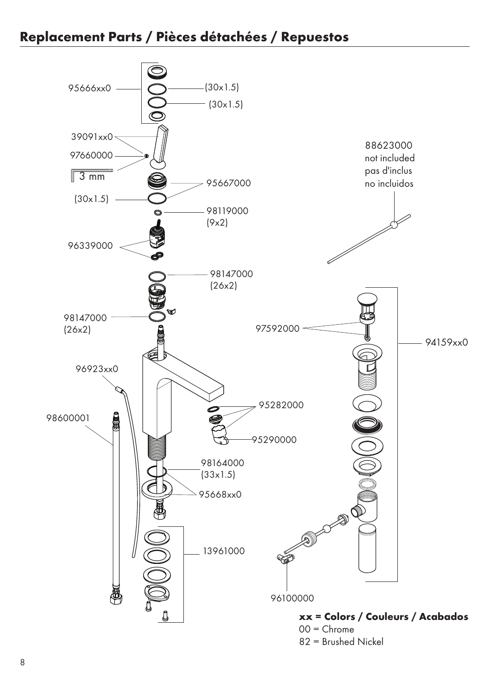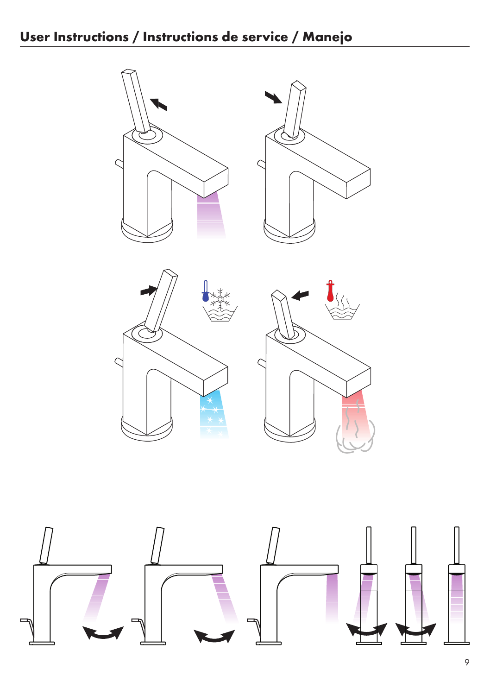





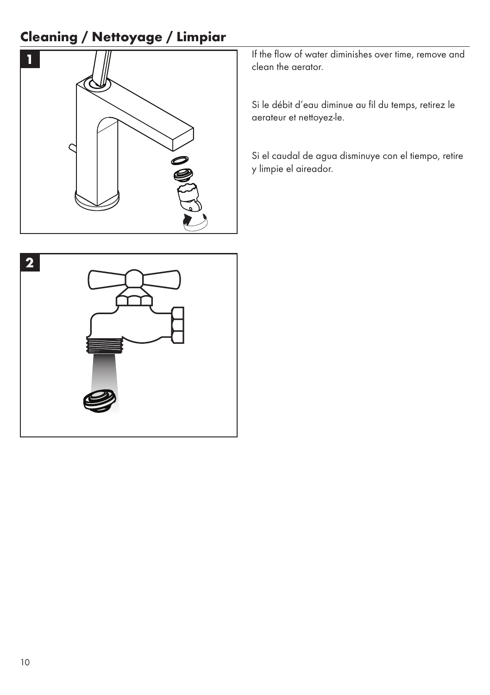# Cleaning / Nettoyage / Limpiar



If the flow of water diminishes over time, remove and clean the aerator.

Si le débit d'eau diminue au fil du temps, retirez le aerateur et nettoyez-le.

Si el caudal de agua disminuye con el tiempo, retire y limpie el aireador.

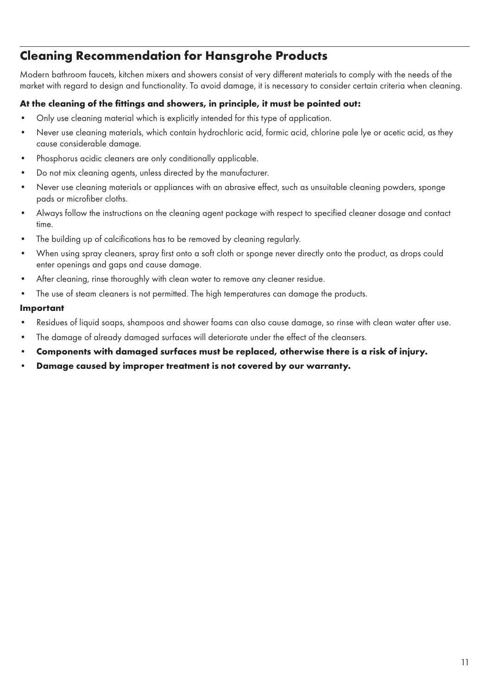### Cleaning Recommendation for Hansgrohe Products

Modern bathroom faucets, kitchen mixers and showers consist of very different materials to comply with the needs of the market with regard to design and functionality. To avoid damage, it is necessary to consider certain criteria when cleaning.

#### At the cleaning of the fittings and showers, in principle, it must be pointed out:

- Only use cleaning material which is explicitly intended for this type of application.
- • Never use cleaning materials, which contain hydrochloric acid, formic acid, chlorine pale lye or acetic acid, as they cause considerable damage.
- Phosphorus acidic cleaners are only conditionally applicable.
- • Do not mix cleaning agents, unless directed by the manufacturer.
- Never use cleaning materials or appliances with an abrasive effect, such as unsuitable cleaning powders, sponge pads or microfiber cloths.
- Always follow the instructions on the cleaning agent package with respect to specified cleaner dosage and contact time.
- The building up of calcifications has to be removed by cleaning regularly.
- • When using spray cleaners, spray first onto a soft cloth or sponge never directly onto the product, as drops could enter openings and gaps and cause damage.
- After cleaning, rinse thoroughly with clean water to remove any cleaner residue.
- The use of steam cleaners is not permitted. The high temperatures can damage the products.

#### Important

- • Residues of liquid soaps, shampoos and shower foams can also cause damage, so rinse with clean water after use.
- The damage of already damaged surfaces will deteriorate under the effect of the cleansers.
- Components with damaged surfaces must be replaced, otherwise there is a risk of injury.
- Damage caused by improper treatment is not covered by our warranty.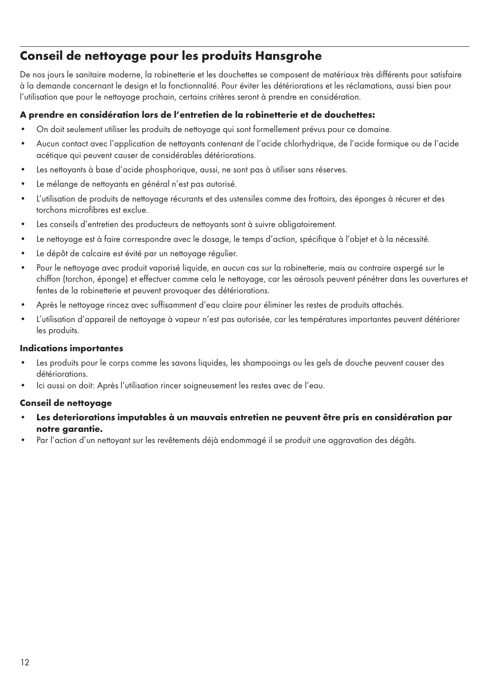### Conseil de nettoyage pour les produits Hansgrohe

De nos jours le sanitaire moderne, la robinetterie et les douchettes se composent de matériaux très différents pour satisfaire à la demande concernant le design et la fonctionnalité. Pour éviter les détériorations et les réclamations, aussi bien pour l'utilisation que pour le nettoyage prochain, certains critères seront à prendre en considération.

### A prendre en considération lors de l'entretien de la robinetterie et de douchettes:

- On doit seulement utiliser les produits de nettoyage qui sont formellement prévus pour ce domaine.
- • Aucun contact avec l'application de nettoyants contenant de l'acide chlorhydrique, de l'acide formique ou de l'acide acétique qui peuvent causer de considérables détériorations.
- Les nettoyants à base d'acide phosphorique, aussi, ne sont pas à utiliser sans réserves.
- • Le mélange de nettoyants en général n'est pas autorisé.
- • L'utilisation de produits de nettoyage récurants et des ustensiles comme des frottoirs, des éponges à récurer et des torchons microfibres est exclue.
- Les conseils d'entretien des producteurs de nettoyants sont à suivre obligatoirement.
- • Le nettoyage est à faire correspondre avec le dosage, le temps d'action, spécifique à l'objet et à la nécessité.
- • Le dépôt de calcaire est évité par un nettoyage régulier.
- Pour le nettoyage avec produit vaporisé liquide, en aucun cas sur la robinetterie, mais au contraire aspergé sur le chiffon (torchon, éponge) et effectuer comme cela le nettoyage, car les aérosols peuvent pénétrer dans les ouvertures et fentes de la robinetterie et peuvent provoquer des détériorations.
- Après le nettoyage rincez avec suffisamment d'eau claire pour éliminer les restes de produits attachés.
- • L'utilisation d'appareil de nettoyage à vapeur n'est pas autorisée, car les températures importantes peuvent détériorer les produits.

#### Indications importantes

- Les produits pour le corps comme les savons liquides, les shampooings ou les gels de douche peuvent causer des détériorations.
- Ici aussi on doit: Après l'utilisation rincer soigneusement les restes avec de l'eau.

#### Conseil de nettoyage

- Les deteriorations imputables à un mauvais entretien ne peuvent être pris en considération par notre garantie.
- Par l'action d'un nettoyant sur les revêtements déjà endommagé il se produit une aggravation des dégâts.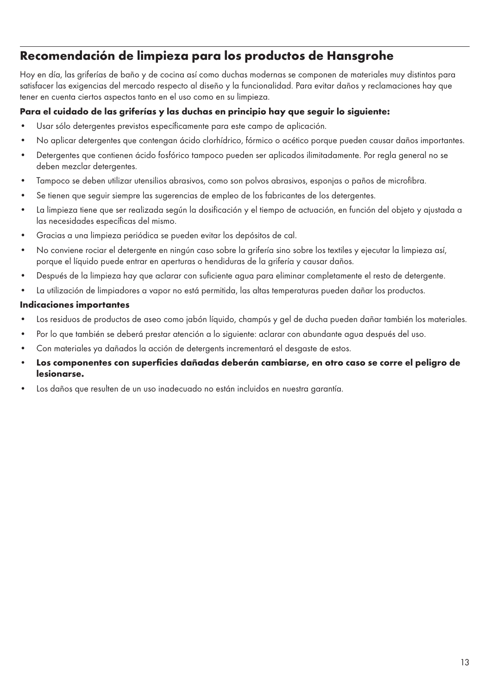### Recomendación de limpieza para los productos de Hansgrohe

Hoy en día, las griferías de baño y de cocina así como duchas modernas se componen de materiales muy distintos para satisfacer las exigencias del mercado respecto al diseño y la funcionalidad. Para evitar daños y reclamaciones hay que tener en cuenta ciertos aspectos tanto en el uso como en su limpieza.

#### Para el cuidado de las griferías y las duchas en principio hay que seguir lo siguiente:

- • Usar sólo detergentes previstos específicamente para este campo de aplicación.
- • No aplicar detergentes que contengan ácido clorhídrico, fórmico o acético porque pueden causar daños importantes.
- Detergentes que contienen ácido fosfórico tampoco pueden ser aplicados ilimitadamente. Por regla general no se deben mezclar detergentes.
- Tampoco se deben utilizar utensilios abrasivos, como son polvos abrasivos, esponjas o paños de microfibra.
- Se tienen que seguir siempre las sugerencias de empleo de los fabricantes de los detergentes.
- • La limpieza tiene que ser realizada según la dosificación y el tiempo de actuación, en función del objeto y ajustada a las necesidades específicas del mismo.
- • Gracias a una limpieza periódica se pueden evitar los depósitos de cal.
- No conviene rociar el detergente en ningún caso sobre la grifería sino sobre los textiles y ejecutar la limpieza así, porque el líquido puede entrar en aperturas o hendiduras de la grifería y causar daños.
- • Después de la limpieza hay que aclarar con suficiente agua para eliminar completamente el resto de detergente.
- • La utilización de limpiadores a vapor no está permitida, las altas temperaturas pueden dañar los productos.

#### Indicaciones importantes

- • Los residuos de productos de aseo como jabón líquido, champús y gel de ducha pueden dañar también los materiales.
- Por lo que también se deberá prestar atención a lo siguiente: aclarar con abundante agua después del uso.
- Con materiales ya dañados la acción de detergents incrementará el desgaste de estos.
- Los componentes con superficies dañadas deberán cambiarse, en otro caso se corre el peligro de lesionarse.
- Los daños que resulten de un uso inadecuado no están incluidos en nuestra garantía.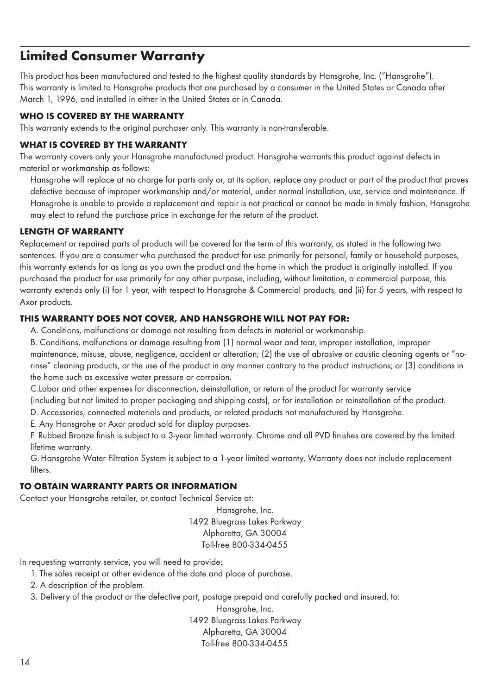## Limited Consumer Warranty

This product has been manufactured and tested to the highest quality standards by Hansgrohe, Inc. ("Hansgrohe"). This warranty is limited to Hansgrohe products that are purchased by a consumer in the United States or Canada after March 1, 1996, and installed in either in the United States or in Canada.

#### WHO IS COVERED BY THE WARRANTY

This warranty extends to the original purchaser only. This warranty is non-transferable.

#### WHAT IS COVERED BY THE WARRANTY

The warranty covers only your Hansgrohe manufactured product. Hansgrohe warrants this product against defects in material or workmanship as follows:

Hansgrohe will replace at no charge for parts only or, at its option, replace any product or part of the product that proves defective because of improper workmanship and/or material, under normal installation, use, service and maintenance. If Hansgrohe is unable to provide a replacement and repair is not practical or cannot be made in timely fashion, Hansgrohe may elect to refund the purchase price in exchange for the return of the product.

#### LENGTH OF WARRANTY

Replacement or repaired parts of products will be covered for the term of this warranty, as stated in the following two sentences. If you are a consumer who purchased the product for use primarily for personal, family or household purposes, this warranty extends for as long as you own the product and the home in which the product is originally installed. If you purchased the product for use primarily for any other purpose, including, without limitation, a commercial purpose, this warranty extends only (i) for 1 year, with respect to Hansgrohe & Commercial products, and (ii) for 5 years, with respect to Axor products.

#### THIS WARRANTY DOES NOT COVER, AND HANSGROHE WILL NOT PAY FOR:

A. Conditions, malfunctions or damage not resulting from defects in material or workmanship.

B. Conditions, malfunctions or damage resulting from (1) normal wear and tear, improper installation, improper maintenance, misuse, abuse, negligence, accident or alteration; (2) the use of abrasive or caustic cleaning agents or "norinse" cleaning products, or the use of the product in any manner contrary to the product instructions; or (3) conditions in the home such as excessive water pressure or corrosion.

C.Labor and other expenses for disconnection, deinstallation, or return of the product for warranty service (including but not limited to proper packaging and shipping costs), or for installation or reinstallation of the product.

D. Accessories, connected materials and products, or related products not manufactured by Hansgrohe.

E. Any Hansgrohe or Axor product sold for display purposes.

F. Rubbed Bronze finish is subject to a 3-year limited warranty. Chrome and all PVD finishes are covered by the limited lifetime warranty.

G. Hansgrohe Water Filtration System is subject to a 1-year limited warranty. Warranty does not include replacement filters

#### TO OBTAIN WARRANTY PARTS OR INFORMATION

Contact your Hansgrohe retailer, or contact Technical Service at:

Hansgrohe, Inc. 1492 Bluegrass Lakes Parkway Alpharetta, GA 30004 Toll-free 800-334-0455

In requesting warranty service, you will need to provide:

- 1. The sales receipt or other evidence of the date and place of purchase.
- 2. A description of the problem.
- 3. Delivery of the product or the defective part, postage prepaid and carefully packed and insured, to:

Hansgrohe, Inc. 1492 Bluegrass Lakes Parkway Alpharetta, GA 30004 Toll-free 800-334-0455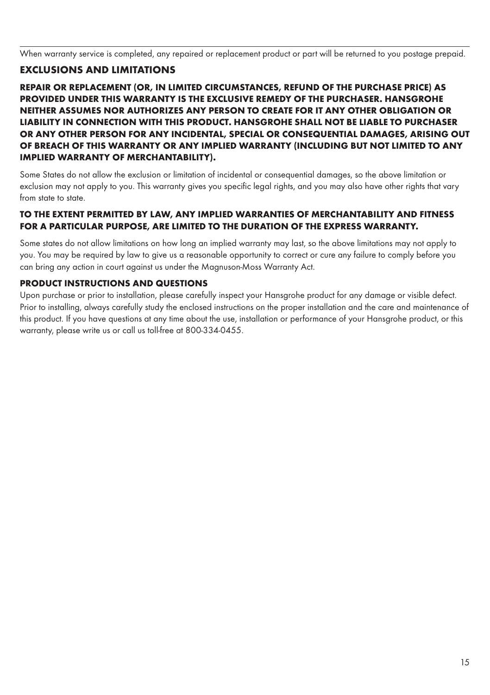When warranty service is completed, any repaired or replacement product or part will be returned to you postage prepaid.

#### EXCLUSIONS AND LIMITATIONS

REPAIR OR REPLACEMENT (OR, IN LIMITED CIRCUMSTANCES, REFUND OF THE PURCHASE PRICE) AS PROVIDED UNDER THIS WARRANTY IS THE EXCLUSIVE REMEDY OF THE PURCHASER. HANSGROHE NEITHER ASSUMES NOR AUTHORIZES ANY PERSON TO CREATE FOR IT ANY OTHER OBLIGATION OR LIABILITY IN CONNECTION WITH THIS PRODUCT. HANSGROHE SHALL NOT BE LIABLE TO PURCHASER OR ANY OTHER PERSON FOR ANY INCIDENTAL, SPECIAL OR CONSEQUENTIAL DAMAGES, ARISING OUT OF BREACH OF THIS WARRANTY OR ANY IMPLIED WARRANTY (INCLUDING BUT NOT LIMITED TO ANY IMPLIED WARRANTY OF MERCHANTABILITY).

Some States do not allow the exclusion or limitation of incidental or consequential damages, so the above limitation or exclusion may not apply to you. This warranty gives you specific legal rights, and you may also have other rights that vary from state to state.

#### TO THE EXTENT PERMITTED BY LAW, ANY IMPLIED WARRANTIES OF MERCHANTABILITY AND FITNESS FOR A PARTICULAR PURPOSE, ARE LIMITED TO THE DURATION OF THE EXPRESS WARRANTY.

Some states do not allow limitations on how long an implied warranty may last, so the above limitations may not apply to you. You may be required by law to give us a reasonable opportunity to correct or cure any failure to comply before you can bring any action in court against us under the Magnuson-Moss Warranty Act.

#### PRODUCT INSTRUCTIONS AND QUESTIONS

Upon purchase or prior to installation, please carefully inspect your Hansgrohe product for any damage or visible defect. Prior to installing, always carefully study the enclosed instructions on the proper installation and the care and maintenance of this product. If you have questions at any time about the use, installation or performance of your Hansgrohe product, or this warranty, please write us or call us toll-free at 800-334-0455.